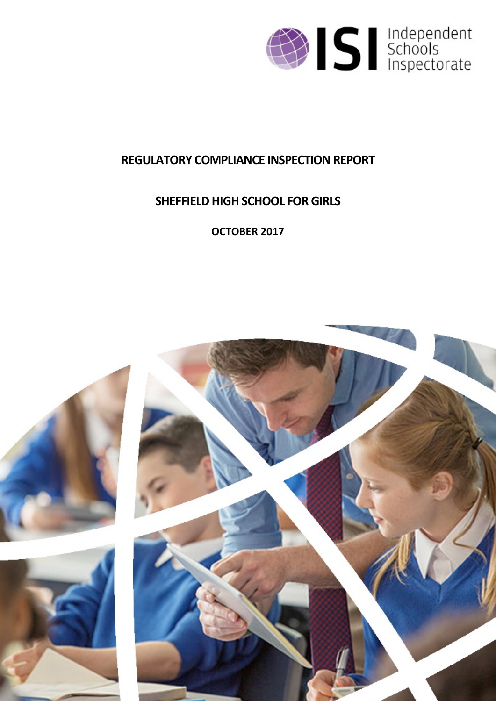

## **REGULATORY COMPLIANCE INSPECTION REPORT**

# **SHEFFIELD HIGH SCHOOL FOR GIRLS**

**OCTOBER 2017**

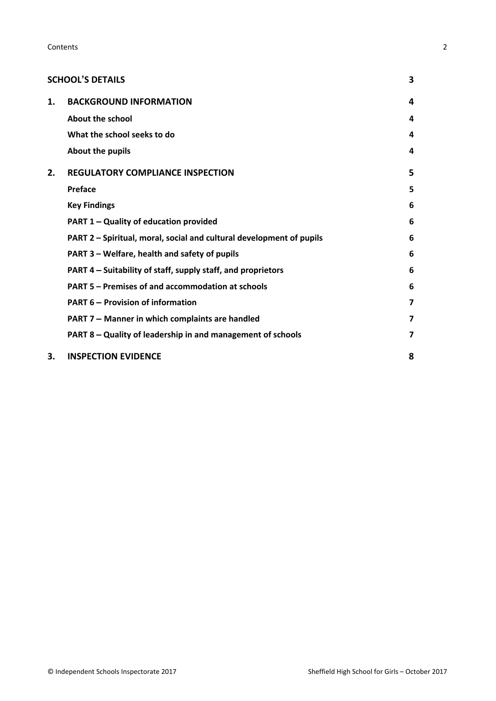|    | <b>SCHOOL'S DETAILS</b>                                              | 3                       |
|----|----------------------------------------------------------------------|-------------------------|
| 1. | <b>BACKGROUND INFORMATION</b>                                        | 4                       |
|    | <b>About the school</b>                                              | 4                       |
|    | What the school seeks to do                                          | 4                       |
|    | About the pupils                                                     | 4                       |
| 2. | <b>REGULATORY COMPLIANCE INSPECTION</b>                              | 5                       |
|    | <b>Preface</b>                                                       | 5                       |
|    | <b>Key Findings</b>                                                  | 6                       |
|    | PART 1 - Quality of education provided                               | 6                       |
|    | PART 2 - Spiritual, moral, social and cultural development of pupils | 6                       |
|    | PART 3 - Welfare, health and safety of pupils                        | 6                       |
|    | PART 4 – Suitability of staff, supply staff, and proprietors         | 6                       |
|    | PART 5 – Premises of and accommodation at schools                    | 6                       |
|    | <b>PART 6 – Provision of information</b>                             | $\overline{\mathbf{z}}$ |
|    | PART 7 - Manner in which complaints are handled                      | 7                       |
|    | PART 8 – Quality of leadership in and management of schools          | $\overline{\mathbf{z}}$ |
| 3. | <b>INSPECTION EVIDENCE</b>                                           | 8                       |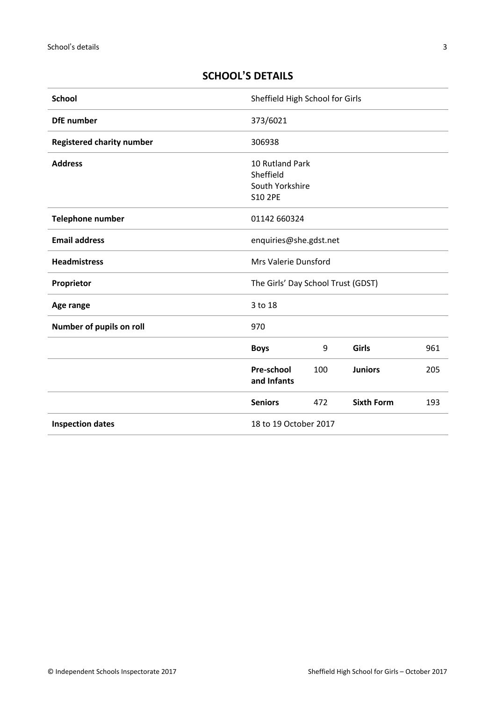## <span id="page-2-0"></span>**SCHOOL'S DETAILS**

| <b>School</b>                    | Sheffield High School for Girls                                   |     |                   |     |
|----------------------------------|-------------------------------------------------------------------|-----|-------------------|-----|
| <b>DfE</b> number                | 373/6021                                                          |     |                   |     |
| <b>Registered charity number</b> | 306938                                                            |     |                   |     |
| <b>Address</b>                   | 10 Rutland Park<br>Sheffield<br>South Yorkshire<br><b>S10 2PE</b> |     |                   |     |
| <b>Telephone number</b>          | 01142 660324                                                      |     |                   |     |
| <b>Email address</b>             | enquiries@she.gdst.net                                            |     |                   |     |
| <b>Headmistress</b>              | Mrs Valerie Dunsford                                              |     |                   |     |
| Proprietor                       | The Girls' Day School Trust (GDST)                                |     |                   |     |
| Age range                        | 3 to 18                                                           |     |                   |     |
| Number of pupils on roll         | 970                                                               |     |                   |     |
|                                  | <b>Boys</b>                                                       | 9   | Girls             | 961 |
|                                  | Pre-school<br>and Infants                                         | 100 | <b>Juniors</b>    | 205 |
|                                  | <b>Seniors</b>                                                    | 472 | <b>Sixth Form</b> | 193 |
| <b>Inspection dates</b>          | 18 to 19 October 2017                                             |     |                   |     |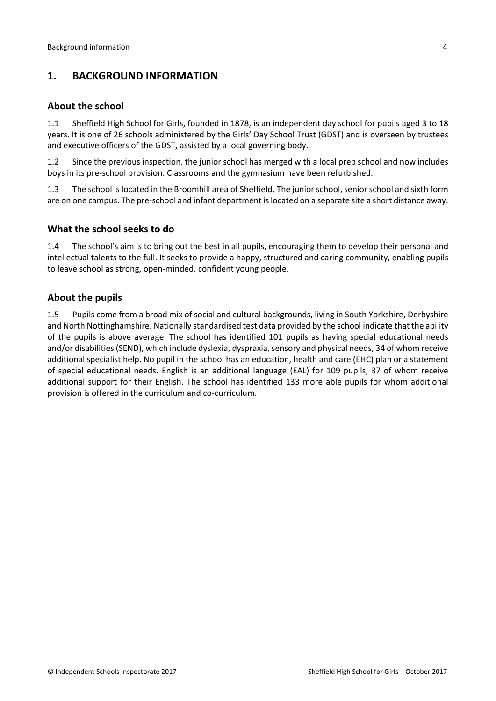## <span id="page-3-0"></span>**1. BACKGROUND INFORMATION**

#### <span id="page-3-1"></span>**About the school**

1.1 Sheffield High School for Girls, founded in 1878, is an independent day school for pupils aged 3 to 18 years. It is one of 26 schools administered by the Girls' Day School Trust (GDST) and is overseen by trustees and executive officers of the GDST, assisted by a local governing body.

1.2 Since the previous inspection, the junior school has merged with a local prep school and now includes boys in its pre-school provision. Classrooms and the gymnasium have been refurbished.

1.3 The school is located in the Broomhill area of Sheffield. The junior school, senior school and sixth form are on one campus. The pre-school and infant department islocated on a separate site a short distance away.

#### <span id="page-3-2"></span>**What the school seeks to do**

1.4 The school's aim is to bring out the best in all pupils, encouraging them to develop their personal and intellectual talents to the full. It seeks to provide a happy, structured and caring community, enabling pupils to leave school as strong, open-minded, confident young people.

#### <span id="page-3-3"></span>**About the pupils**

1.5 Pupils come from a broad mix of social and cultural backgrounds, living in South Yorkshire, Derbyshire and North Nottinghamshire. Nationally standardised test data provided by the school indicate that the ability of the pupils is above average. The school has identified 101 pupils as having special educational needs and/or disabilities (SEND), which include dyslexia, dyspraxia, sensory and physical needs, 34 of whom receive additional specialist help. No pupil in the school has an education, health and care (EHC) plan or a statement of special educational needs. English is an additional language (EAL) for 109 pupils, 37 of whom receive additional support for their English. The school has identified 133 more able pupils for whom additional provision is offered in the curriculum and co-curriculum.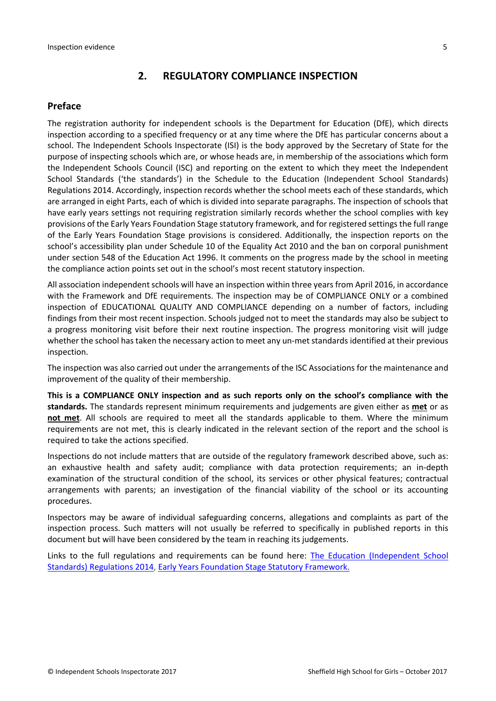#### <span id="page-4-0"></span>**2. REGULATORY COMPLIANCE INSPECTION**

#### <span id="page-4-1"></span>**Preface**

The registration authority for independent schools is the Department for Education (DfE), which directs inspection according to a specified frequency or at any time where the DfE has particular concerns about a school. The Independent Schools Inspectorate (ISI) is the body approved by the Secretary of State for the purpose of inspecting schools which are, or whose heads are, in membership of the associations which form the Independent Schools Council (ISC) and reporting on the extent to which they meet the Independent School Standards ('the standards') in the Schedule to the Education (Independent School Standards) Regulations 2014. Accordingly, inspection records whether the school meets each of these standards, which are arranged in eight Parts, each of which is divided into separate paragraphs. The inspection of schools that have early years settings not requiring registration similarly records whether the school complies with key provisions of the Early Years Foundation Stage statutory framework, and for registered settings the full range of the Early Years Foundation Stage provisions is considered. Additionally, the inspection reports on the school's accessibility plan under Schedule 10 of the Equality Act 2010 and the ban on corporal punishment under section 548 of the Education Act 1996. It comments on the progress made by the school in meeting the compliance action points set out in the school's most recent statutory inspection.

All association independent schools will have an inspection within three yearsfrom April 2016, in accordance with the Framework and DfE requirements. The inspection may be of COMPLIANCE ONLY or a combined inspection of EDUCATIONAL QUALITY AND COMPLIANCE depending on a number of factors, including findings from their most recent inspection. Schools judged not to meet the standards may also be subject to a progress monitoring visit before their next routine inspection. The progress monitoring visit will judge whether the school has taken the necessary action to meet any un-met standards identified at their previous inspection.

The inspection was also carried out under the arrangements of the ISC Associations for the maintenance and improvement of the quality of their membership.

**This is a COMPLIANCE ONLY inspection and as such reports only on the school's compliance with the standards.** The standards represent minimum requirements and judgements are given either as **met** or as **not met**. All schools are required to meet all the standards applicable to them. Where the minimum requirements are not met, this is clearly indicated in the relevant section of the report and the school is required to take the actions specified.

Inspections do not include matters that are outside of the regulatory framework described above, such as: an exhaustive health and safety audit; compliance with data protection requirements; an in-depth examination of the structural condition of the school, its services or other physical features; contractual arrangements with parents; an investigation of the financial viability of the school or its accounting procedures.

Inspectors may be aware of individual safeguarding concerns, allegations and complaints as part of the inspection process. Such matters will not usually be referred to specifically in published reports in this document but will have been considered by the team in reaching its judgements.

Links to the full regulations and requirements can be found here: The Education [\(Independent](http://www.legislation.gov.uk/uksi/2014/3283/contents/made) School Standards) [Regulations](http://www.legislation.gov.uk/uksi/2014/3283/contents/made) 2014, Early Years Foundation Stage Statutory [Framework.](https://www.gov.uk/government/publications/early-years-foundation-stage-framework--2)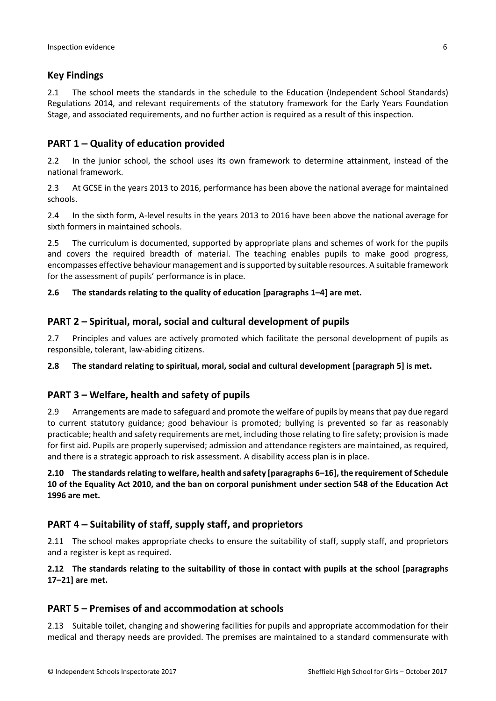## <span id="page-5-0"></span>**Key Findings**

2.1 The school meets the standards in the schedule to the Education (Independent School Standards) Regulations 2014, and relevant requirements of the statutory framework for the Early Years Foundation Stage, and associated requirements, and no further action is required as a result of this inspection.

## <span id="page-5-1"></span>**PART 1 – Quality of education provided**

2.2 In the junior school, the school uses its own framework to determine attainment, instead of the national framework.

2.3 At GCSE in the years 2013 to 2016, performance has been above the national average for maintained schools.

2.4 In the sixth form, A-level results in the years 2013 to 2016 have been above the national average for sixth formers in maintained schools.

2.5 The curriculum is documented, supported by appropriate plans and schemes of work for the pupils and covers the required breadth of material. The teaching enables pupils to make good progress, encompasses effective behaviour management and issupported by suitable resources. A suitable framework for the assessment of pupils' performance is in place.

#### **2.6 The standards relating to the quality of education [paragraphs 1–4] are met.**

#### <span id="page-5-2"></span>**PART 2 – Spiritual, moral, social and cultural development of pupils**

2.7 Principles and values are actively promoted which facilitate the personal development of pupils as responsible, tolerant, law-abiding citizens.

**2.8 The standard relating to spiritual, moral, social and cultural development [paragraph 5] is met.**

#### <span id="page-5-3"></span>**PART 3 – Welfare, health and safety of pupils**

2.9 Arrangements are made to safeguard and promote the welfare of pupils by meansthat pay due regard to current statutory guidance; good behaviour is promoted; bullying is prevented so far as reasonably practicable; health and safety requirements are met, including those relating to fire safety; provision is made for first aid. Pupils are properly supervised; admission and attendance registers are maintained, as required, and there is a strategic approach to risk assessment. A disability access plan is in place.

**2.10 The standardsrelating to welfare, health and safety [paragraphs 6–16], the requirement of Schedule** 10 of the Equality Act 2010, and the ban on corporal punishment under section 548 of the Education Act **1996 are met.**

## <span id="page-5-4"></span>**PART 4 – Suitability of staff, supply staff, and proprietors**

2.11 The school makes appropriate checks to ensure the suitability of staff, supply staff, and proprietors and a register is kept as required.

**2.12 The standards relating to the suitability of those in contact with pupils at the school [paragraphs 17–21] are met.**

#### <span id="page-5-5"></span>**PART 5 – Premises of and accommodation at schools**

2.13 Suitable toilet, changing and showering facilities for pupils and appropriate accommodation for their medical and therapy needs are provided. The premises are maintained to a standard commensurate with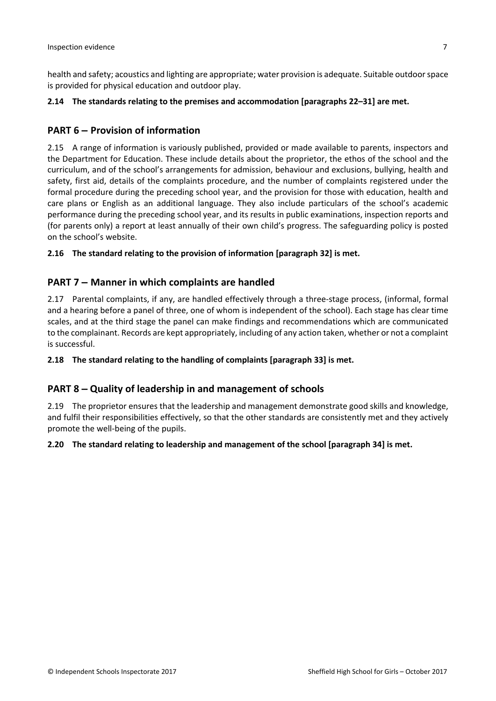health and safety; acoustics and lighting are appropriate; water provision is adequate. Suitable outdoorspace is provided for physical education and outdoor play.

#### **2.14 The standards relating to the premises and accommodation [paragraphs 22–31] are met.**

### <span id="page-6-0"></span>**PART 6 – Provision of information**

2.15 A range of information is variously published, provided or made available to parents, inspectors and the Department for Education. These include details about the proprietor, the ethos of the school and the curriculum, and of the school's arrangements for admission, behaviour and exclusions, bullying, health and safety, first aid, details of the complaints procedure, and the number of complaints registered under the formal procedure during the preceding school year, and the provision for those with education, health and care plans or English as an additional language. They also include particulars of the school's academic performance during the preceding school year, and its results in public examinations, inspection reports and (for parents only) a report at least annually of their own child's progress. The safeguarding policy is posted on the school's website.

#### **2.16 The standard relating to the provision of information [paragraph 32] is met.**

#### <span id="page-6-1"></span>**PART 7 – Manner in which complaints are handled**

2.17 Parental complaints, if any, are handled effectively through a three-stage process, (informal, formal and a hearing before a panel of three, one of whom is independent of the school). Each stage has clear time scales, and at the third stage the panel can make findings and recommendations which are communicated to the complainant. Records are kept appropriately, including of any action taken, whether or not a complaint is successful.

#### **2.18 The standard relating to the handling of complaints [paragraph 33] is met.**

#### <span id="page-6-2"></span>**PART 8 – Quality of leadership in and management of schools**

2.19 The proprietor ensures that the leadership and management demonstrate good skills and knowledge, and fulfil their responsibilities effectively, so that the other standards are consistently met and they actively promote the well-being of the pupils.

#### **2.20 The standard relating to leadership and management of the school [paragraph 34] is met.**